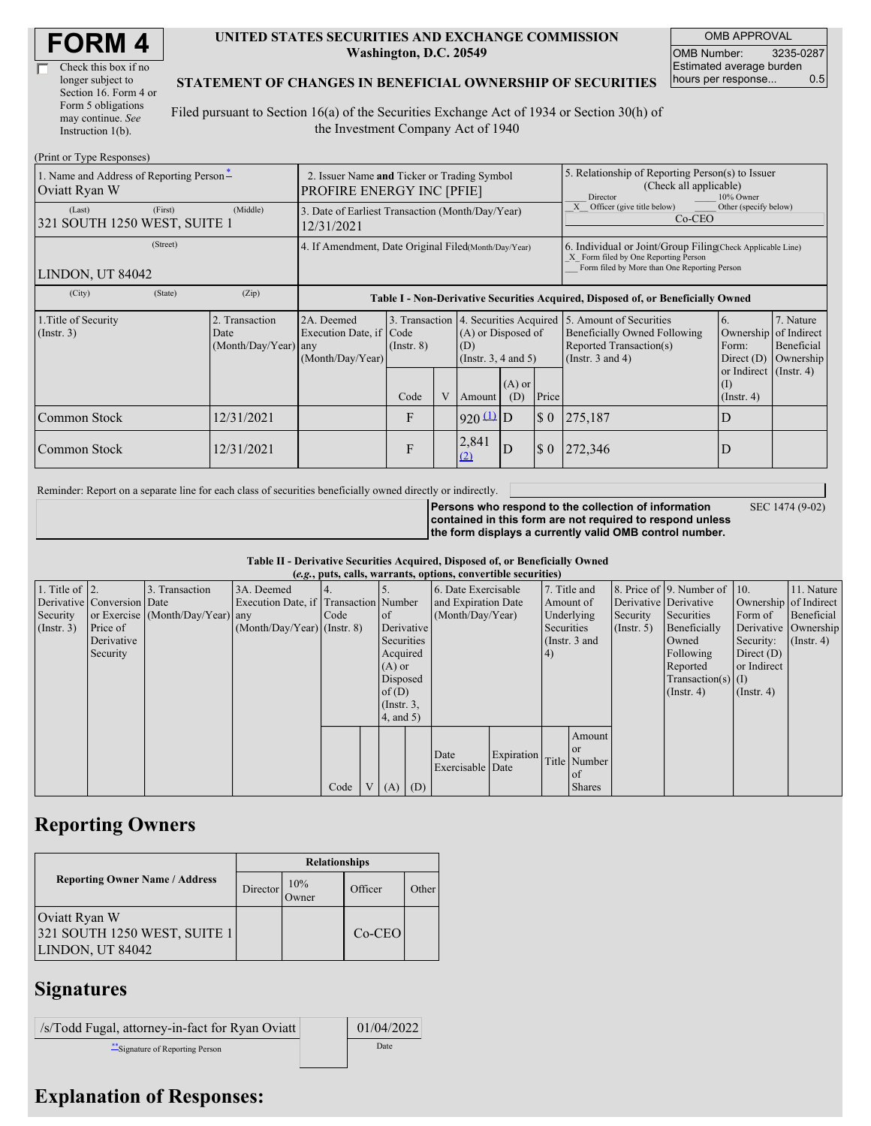| Check this box if no  |
|-----------------------|
| longer subject to     |
| Section 16. Form 4 or |
| Form 5 obligations    |
| may continue. See     |
| Instruction 1(b).     |

#### **UNITED STATES SECURITIES AND EXCHANGE COMMISSION Washington, D.C. 20549**

OMB APPROVAL OMB Number: 3235-0287 Estimated average burden hours per response... 0.5

#### **STATEMENT OF CHANGES IN BENEFICIAL OWNERSHIP OF SECURITIES**

Filed pursuant to Section 16(a) of the Securities Exchange Act of 1934 or Section 30(h) of the Investment Company Act of 1940

| (Print or Type Responses)                                 |                                                                                 |                                                                                                                                                                                                            |                                                                                  |                 |  |                                                       |                                                                                                     |                             |                                                                                                                                                   |                                                            |                                                     |  |
|-----------------------------------------------------------|---------------------------------------------------------------------------------|------------------------------------------------------------------------------------------------------------------------------------------------------------------------------------------------------------|----------------------------------------------------------------------------------|-----------------|--|-------------------------------------------------------|-----------------------------------------------------------------------------------------------------|-----------------------------|---------------------------------------------------------------------------------------------------------------------------------------------------|------------------------------------------------------------|-----------------------------------------------------|--|
| 1. Name and Address of Reporting Person-<br>Oviatt Ryan W | 2. Issuer Name and Ticker or Trading Symbol<br><b>PROFIRE ENERGY INC [PFIE]</b> |                                                                                                                                                                                                            |                                                                                  |                 |  |                                                       | 5. Relationship of Reporting Person(s) to Issuer<br>(Check all applicable)<br>Director<br>10% Owner |                             |                                                                                                                                                   |                                                            |                                                     |  |
| (Last)<br>321 SOUTH 1250 WEST, SUITE 1                    | (First)                                                                         | (Middle)                                                                                                                                                                                                   | 3. Date of Earliest Transaction (Month/Day/Year)<br>12/31/2021                   |                 |  |                                                       |                                                                                                     |                             | Other (specify below)<br>Officer (give title below)<br>$Co-CEO$                                                                                   |                                                            |                                                     |  |
| LINDON, UT 84042                                          | (Street)                                                                        | 4. If Amendment, Date Original Filed(Month/Day/Year)<br>6. Individual or Joint/Group Filing Check Applicable Line)<br>X Form filed by One Reporting Person<br>Form filed by More than One Reporting Person |                                                                                  |                 |  |                                                       |                                                                                                     |                             |                                                                                                                                                   |                                                            |                                                     |  |
| (City)                                                    | (State)                                                                         | (Zip)                                                                                                                                                                                                      | Table I - Non-Derivative Securities Acquired, Disposed of, or Beneficially Owned |                 |  |                                                       |                                                                                                     |                             |                                                                                                                                                   |                                                            |                                                     |  |
| 1. Title of Security<br>$($ Instr. 3 $)$                  |                                                                                 | 2. Transaction<br>Date<br>$(Month/Day/Year)$ any                                                                                                                                                           | 2A. Deemed<br>Execution Date, if Code<br>(Month/Day/Year)                        | $($ Instr. $8)$ |  | (A) or Disposed of<br>(D)<br>(Instr. $3, 4$ and $5$ ) |                                                                                                     |                             | 3. Transaction 4. Securities Acquired 5. Amount of Securities<br>Beneficially Owned Following<br>Reported Transaction(s)<br>(Instr. $3$ and $4$ ) | 6.<br>Ownership<br>Form:<br>Direct $(D)$                   | 7. Nature<br>of Indirect<br>Beneficial<br>Ownership |  |
|                                                           |                                                                                 |                                                                                                                                                                                                            |                                                                                  | Code            |  | Amount                                                | $(A)$ or<br>(D)                                                                                     | Price                       |                                                                                                                                                   | or Indirect $($ Instr. 4 $)$<br>$($ I)<br>$($ Instr. 4 $)$ |                                                     |  |
| Common Stock                                              |                                                                                 | 12/31/2021                                                                                                                                                                                                 |                                                                                  | F               |  | $920 \underline{u}$ D                                 |                                                                                                     | $\boldsymbol{\mathsf{S}}$ 0 | 275,187                                                                                                                                           | D                                                          |                                                     |  |
| Common Stock                                              |                                                                                 | 12/31/2021                                                                                                                                                                                                 |                                                                                  | F               |  | 2,841<br>(2)                                          | D                                                                                                   | $\boldsymbol{\mathsf{S}}$ 0 | 272,346                                                                                                                                           | D                                                          |                                                     |  |

Reminder: Report on a separate line for each class of securities beneficially owned directly or indirectly.

**Persons who respond to the collection of information contained in this form are not required to respond unless the form displays a currently valid OMB control number.** SEC 1474 (9-02)

**Table II - Derivative Securities Acquired, Disposed of, or Beneficially Owned**

| (e.g., puts, calls, warrants, options, convertible securities) |                            |                                  |                                       |      |  |                 |          |                     |            |            |               |                      |                          |                       |                  |
|----------------------------------------------------------------|----------------------------|----------------------------------|---------------------------------------|------|--|-----------------|----------|---------------------|------------|------------|---------------|----------------------|--------------------------|-----------------------|------------------|
| 1. Title of $\vert$ 2.                                         |                            | 3. Transaction                   | 3A. Deemed                            |      |  |                 |          | 6. Date Exercisable |            |            | 7. Title and  |                      | 8. Price of 9. Number of | $\vert$ 10.           | 11. Nature       |
|                                                                | Derivative Conversion Date |                                  | Execution Date, if Transaction Number |      |  |                 |          | and Expiration Date |            | Amount of  |               |                      | Derivative Derivative    | Ownership of Indirect |                  |
| Security                                                       |                            | or Exercise (Month/Day/Year) any |                                       | Code |  | of              |          | (Month/Day/Year)    |            |            | Underlying    | Security             | Securities               | Form of               | Beneficial       |
| (Insert. 3)                                                    | Price of                   |                                  | $(Month/Day/Year)$ (Instr. 8)         |      |  | Derivative      |          |                     |            | Securities |               | $($ Instr. 5)        | Beneficially             | Derivative Ownership  |                  |
|                                                                | Derivative                 |                                  |                                       |      |  | Securities      |          |                     |            |            | (Instr. 3 and |                      | Owned                    | Security:             | $($ Instr. 4 $)$ |
|                                                                | Security                   |                                  |                                       |      |  | Acquired        |          |                     |            | 14)        |               |                      | Following                | Direct $(D)$          |                  |
|                                                                |                            |                                  |                                       |      |  | $(A)$ or        |          |                     |            |            |               |                      | Reported                 | or Indirect           |                  |
|                                                                |                            |                                  |                                       |      |  |                 | Disposed |                     |            |            |               | $Transaction(s)$ (I) |                          |                       |                  |
|                                                                |                            |                                  |                                       |      |  | of $(D)$        |          |                     |            |            |               |                      | $($ Instr. 4 $)$         | $($ Instr. 4)         |                  |
|                                                                |                            |                                  |                                       |      |  | $($ Instr. $3,$ |          |                     |            |            |               |                      |                          |                       |                  |
|                                                                |                            |                                  |                                       |      |  | $4$ , and $5$ ) |          |                     |            |            |               |                      |                          |                       |                  |
|                                                                |                            |                                  |                                       |      |  |                 |          |                     |            |            | Amount        |                      |                          |                       |                  |
|                                                                |                            |                                  |                                       |      |  |                 |          |                     |            |            | <b>or</b>     |                      |                          |                       |                  |
|                                                                |                            |                                  |                                       |      |  |                 |          | Date                | Expiration |            | Title Number  |                      |                          |                       |                  |
|                                                                |                            |                                  |                                       |      |  |                 |          | Exercisable Date    |            |            | of            |                      |                          |                       |                  |
|                                                                |                            |                                  |                                       | Code |  | $(A)$ $(D)$     |          |                     |            |            | <b>Shares</b> |                      |                          |                       |                  |

## **Reporting Owners**

|                                                                   | <b>Relationships</b> |                     |          |       |  |  |  |  |
|-------------------------------------------------------------------|----------------------|---------------------|----------|-------|--|--|--|--|
| <b>Reporting Owner Name / Address</b>                             | Director             | 10%<br><b>Jwner</b> | Officer  | Other |  |  |  |  |
| Oviatt Ryan W<br>321 SOUTH 1250 WEST, SUITE 1<br>LINDON, UT 84042 |                      |                     | $Co-CEO$ |       |  |  |  |  |

### **Signatures**

/s/Todd Fugal, attorney-in-fact for Ryan Oviatt 01/04/2022 \*\*Signature of Reporting Person Date

# **Explanation of Responses:**